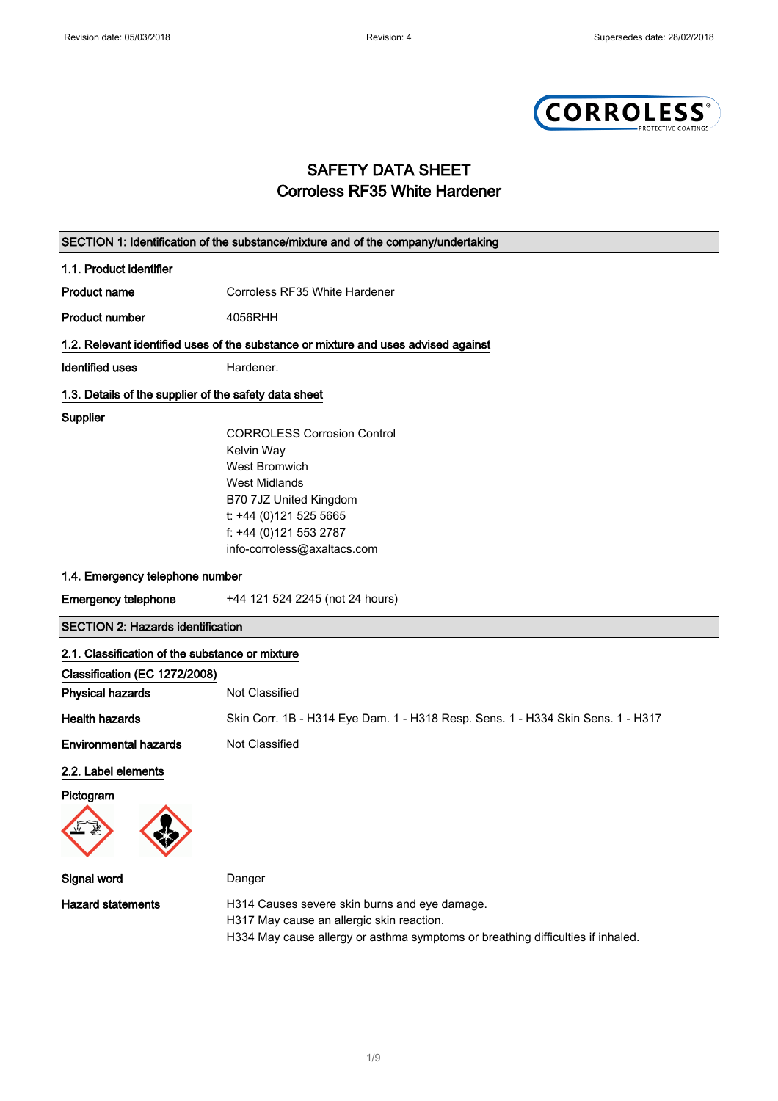

# SAFETY DATA SHEET Corroless RF35 White Hardener

|                                                       | SECTION 1: Identification of the substance/mixture and of the company/undertaking                                                                                             |  |
|-------------------------------------------------------|-------------------------------------------------------------------------------------------------------------------------------------------------------------------------------|--|
| 1.1. Product identifier                               |                                                                                                                                                                               |  |
| <b>Product name</b>                                   | Corroless RF35 White Hardener                                                                                                                                                 |  |
| <b>Product number</b>                                 | 4056RHH                                                                                                                                                                       |  |
|                                                       | 1.2. Relevant identified uses of the substance or mixture and uses advised against                                                                                            |  |
| <b>Identified uses</b>                                | Hardener.                                                                                                                                                                     |  |
| 1.3. Details of the supplier of the safety data sheet |                                                                                                                                                                               |  |
| Supplier                                              |                                                                                                                                                                               |  |
|                                                       | <b>CORROLESS Corrosion Control</b>                                                                                                                                            |  |
|                                                       | Kelvin Way                                                                                                                                                                    |  |
|                                                       | <b>West Bromwich</b>                                                                                                                                                          |  |
|                                                       | <b>West Midlands</b>                                                                                                                                                          |  |
|                                                       | B70 7JZ United Kingdom                                                                                                                                                        |  |
|                                                       | t: +44 (0)121 525 5665                                                                                                                                                        |  |
|                                                       | f: +44 (0)121 553 2787                                                                                                                                                        |  |
|                                                       | info-corroless@axaltacs.com                                                                                                                                                   |  |
| 1.4. Emergency telephone number                       |                                                                                                                                                                               |  |
| <b>Emergency telephone</b>                            | +44 121 524 2245 (not 24 hours)                                                                                                                                               |  |
| <b>SECTION 2: Hazards identification</b>              |                                                                                                                                                                               |  |
| 2.1. Classification of the substance or mixture       |                                                                                                                                                                               |  |
| Classification (EC 1272/2008)                         |                                                                                                                                                                               |  |
| <b>Physical hazards</b>                               | Not Classified                                                                                                                                                                |  |
| <b>Health hazards</b>                                 | Skin Corr. 1B - H314 Eye Dam. 1 - H318 Resp. Sens. 1 - H334 Skin Sens. 1 - H317                                                                                               |  |
| <b>Environmental hazards</b>                          | Not Classified                                                                                                                                                                |  |
| 2.2. Label elements                                   |                                                                                                                                                                               |  |
| Pictogram                                             |                                                                                                                                                                               |  |
|                                                       |                                                                                                                                                                               |  |
| Signal word                                           | Danger                                                                                                                                                                        |  |
| <b>Hazard statements</b>                              | H314 Causes severe skin burns and eye damage.<br>H317 May cause an allergic skin reaction.<br>H334 May cause allergy or asthma symptoms or breathing difficulties if inhaled. |  |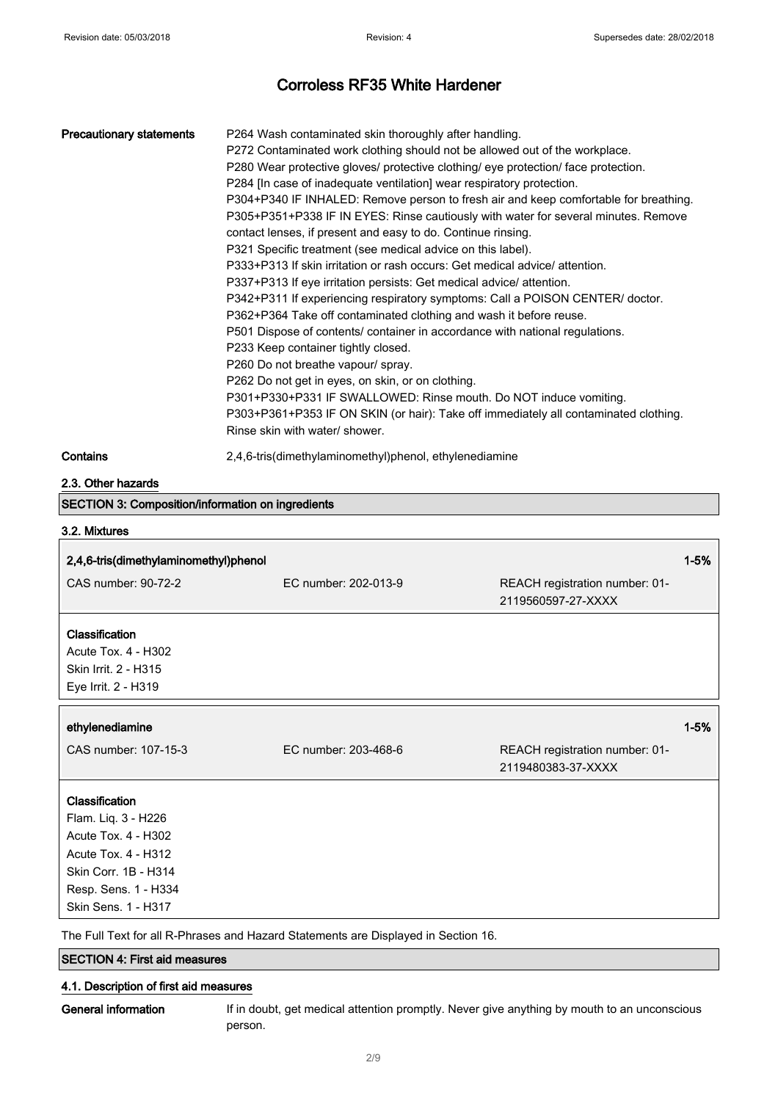# Corroless RF35 White Hardener

| <b>Precautionary statements</b>                                                                                                                                   | P264 Wash contaminated skin thoroughly after handling.<br>P272 Contaminated work clothing should not be allowed out of the workplace.<br>P280 Wear protective gloves/ protective clothing/ eye protection/ face protection.<br>P284 [In case of inadequate ventilation] wear respiratory protection.<br>P304+P340 IF INHALED: Remove person to fresh air and keep comfortable for breathing.<br>P305+P351+P338 IF IN EYES: Rinse cautiously with water for several minutes. Remove<br>contact lenses, if present and easy to do. Continue rinsing.<br>P321 Specific treatment (see medical advice on this label).<br>P333+P313 If skin irritation or rash occurs: Get medical advice/ attention.<br>P337+P313 If eye irritation persists: Get medical advice/ attention.<br>P342+P311 If experiencing respiratory symptoms: Call a POISON CENTER/ doctor.<br>P362+P364 Take off contaminated clothing and wash it before reuse.<br>P501 Dispose of contents/ container in accordance with national regulations.<br>P233 Keep container tightly closed.<br>P260 Do not breathe vapour/ spray.<br>P262 Do not get in eyes, on skin, or on clothing.<br>P301+P330+P331 IF SWALLOWED: Rinse mouth. Do NOT induce vomiting.<br>P303+P361+P353 IF ON SKIN (or hair): Take off immediately all contaminated clothing.<br>Rinse skin with water/ shower. |                                                      |
|-------------------------------------------------------------------------------------------------------------------------------------------------------------------|--------------------------------------------------------------------------------------------------------------------------------------------------------------------------------------------------------------------------------------------------------------------------------------------------------------------------------------------------------------------------------------------------------------------------------------------------------------------------------------------------------------------------------------------------------------------------------------------------------------------------------------------------------------------------------------------------------------------------------------------------------------------------------------------------------------------------------------------------------------------------------------------------------------------------------------------------------------------------------------------------------------------------------------------------------------------------------------------------------------------------------------------------------------------------------------------------------------------------------------------------------------------------------------------------------------------------------------------------|------------------------------------------------------|
| Contains                                                                                                                                                          | 2,4,6-tris(dimethylaminomethyl)phenol, ethylenediamine                                                                                                                                                                                                                                                                                                                                                                                                                                                                                                                                                                                                                                                                                                                                                                                                                                                                                                                                                                                                                                                                                                                                                                                                                                                                                           |                                                      |
| 2.3. Other hazards                                                                                                                                                |                                                                                                                                                                                                                                                                                                                                                                                                                                                                                                                                                                                                                                                                                                                                                                                                                                                                                                                                                                                                                                                                                                                                                                                                                                                                                                                                                  |                                                      |
| <b>SECTION 3: Composition/information on ingredients</b>                                                                                                          |                                                                                                                                                                                                                                                                                                                                                                                                                                                                                                                                                                                                                                                                                                                                                                                                                                                                                                                                                                                                                                                                                                                                                                                                                                                                                                                                                  |                                                      |
| 3.2. Mixtures                                                                                                                                                     |                                                                                                                                                                                                                                                                                                                                                                                                                                                                                                                                                                                                                                                                                                                                                                                                                                                                                                                                                                                                                                                                                                                                                                                                                                                                                                                                                  |                                                      |
| 2,4,6-tris(dimethylaminomethyl)phenol                                                                                                                             |                                                                                                                                                                                                                                                                                                                                                                                                                                                                                                                                                                                                                                                                                                                                                                                                                                                                                                                                                                                                                                                                                                                                                                                                                                                                                                                                                  | $1 - 5%$                                             |
| CAS number: 90-72-2                                                                                                                                               | EC number: 202-013-9                                                                                                                                                                                                                                                                                                                                                                                                                                                                                                                                                                                                                                                                                                                                                                                                                                                                                                                                                                                                                                                                                                                                                                                                                                                                                                                             | REACH registration number: 01-<br>2119560597-27-XXXX |
| Classification<br><b>Acute Tox. 4 - H302</b><br>Skin Irrit. 2 - H315<br>Eye Irrit. 2 - H319                                                                       |                                                                                                                                                                                                                                                                                                                                                                                                                                                                                                                                                                                                                                                                                                                                                                                                                                                                                                                                                                                                                                                                                                                                                                                                                                                                                                                                                  |                                                      |
| ethylenediamine                                                                                                                                                   |                                                                                                                                                                                                                                                                                                                                                                                                                                                                                                                                                                                                                                                                                                                                                                                                                                                                                                                                                                                                                                                                                                                                                                                                                                                                                                                                                  | $1 - 5%$                                             |
| CAS number: 107-15-3                                                                                                                                              | EC number: 203-468-6                                                                                                                                                                                                                                                                                                                                                                                                                                                                                                                                                                                                                                                                                                                                                                                                                                                                                                                                                                                                                                                                                                                                                                                                                                                                                                                             | REACH registration number: 01-<br>2119480383-37-XXXX |
| Classification<br>Flam. Liq. 3 - H226<br><b>Acute Tox. 4 - H302</b><br>Acute Tox. 4 - H312<br>Skin Corr. 1B - H314<br>Resp. Sens. 1 - H334<br>Skin Sens. 1 - H317 | The Full Text for all R-Phrases and Hazard Statements are Displayed in Section 16.                                                                                                                                                                                                                                                                                                                                                                                                                                                                                                                                                                                                                                                                                                                                                                                                                                                                                                                                                                                                                                                                                                                                                                                                                                                               |                                                      |

SECTION 4: First aid measures

## 4.1. Description of first aid measures

General information If in doubt, get medical attention promptly. Never give anything by mouth to an unconscious person.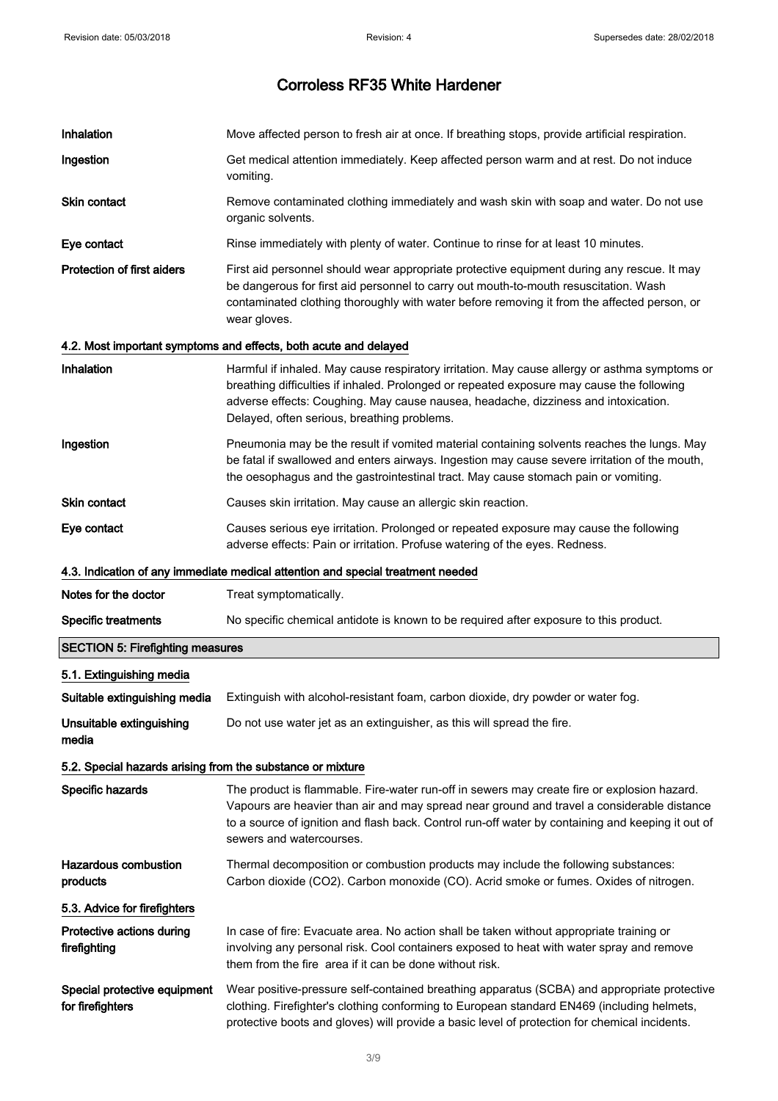| Inhalation                                                 | Move affected person to fresh air at once. If breathing stops, provide artificial respiration.                                                                                                                                                                                                                                  |
|------------------------------------------------------------|---------------------------------------------------------------------------------------------------------------------------------------------------------------------------------------------------------------------------------------------------------------------------------------------------------------------------------|
| Ingestion                                                  | Get medical attention immediately. Keep affected person warm and at rest. Do not induce<br>vomiting.                                                                                                                                                                                                                            |
| Skin contact                                               | Remove contaminated clothing immediately and wash skin with soap and water. Do not use<br>organic solvents.                                                                                                                                                                                                                     |
| Eye contact                                                | Rinse immediately with plenty of water. Continue to rinse for at least 10 minutes.                                                                                                                                                                                                                                              |
| <b>Protection of first aiders</b>                          | First aid personnel should wear appropriate protective equipment during any rescue. It may<br>be dangerous for first aid personnel to carry out mouth-to-mouth resuscitation. Wash<br>contaminated clothing thoroughly with water before removing it from the affected person, or<br>wear gloves.                               |
|                                                            | 4.2. Most important symptoms and effects, both acute and delayed                                                                                                                                                                                                                                                                |
| Inhalation                                                 | Harmful if inhaled. May cause respiratory irritation. May cause allergy or asthma symptoms or<br>breathing difficulties if inhaled. Prolonged or repeated exposure may cause the following<br>adverse effects: Coughing. May cause nausea, headache, dizziness and intoxication.<br>Delayed, often serious, breathing problems. |
| Ingestion                                                  | Pneumonia may be the result if vomited material containing solvents reaches the lungs. May<br>be fatal if swallowed and enters airways. Ingestion may cause severe irritation of the mouth,<br>the oesophagus and the gastrointestinal tract. May cause stomach pain or vomiting.                                               |
| <b>Skin contact</b>                                        | Causes skin irritation. May cause an allergic skin reaction.                                                                                                                                                                                                                                                                    |
| Eye contact                                                | Causes serious eye irritation. Prolonged or repeated exposure may cause the following<br>adverse effects: Pain or irritation. Profuse watering of the eyes. Redness.                                                                                                                                                            |
|                                                            | 4.3. Indication of any immediate medical attention and special treatment needed                                                                                                                                                                                                                                                 |
| Notes for the doctor                                       | Treat symptomatically.                                                                                                                                                                                                                                                                                                          |
| <b>Specific treatments</b>                                 | No specific chemical antidote is known to be required after exposure to this product.                                                                                                                                                                                                                                           |
| <b>SECTION 5: Firefighting measures</b>                    |                                                                                                                                                                                                                                                                                                                                 |
| 5.1. Extinguishing media                                   |                                                                                                                                                                                                                                                                                                                                 |
| Suitable extinguishing media                               | Extinguish with alcohol-resistant foam, carbon dioxide, dry powder or water fog.                                                                                                                                                                                                                                                |
| Unsuitable extinguishing<br>media                          | Do not use water jet as an extinguisher, as this will spread the fire.                                                                                                                                                                                                                                                          |
| 5.2. Special hazards arising from the substance or mixture |                                                                                                                                                                                                                                                                                                                                 |
| Specific hazards                                           | The product is flammable. Fire-water run-off in sewers may create fire or explosion hazard.<br>Vapours are heavier than air and may spread near ground and travel a considerable distance<br>to a source of ignition and flash back. Control run-off water by containing and keeping it out of<br>sewers and watercourses.      |
| <b>Hazardous combustion</b><br>products                    | Thermal decomposition or combustion products may include the following substances:<br>Carbon dioxide (CO2). Carbon monoxide (CO). Acrid smoke or fumes. Oxides of nitrogen.                                                                                                                                                     |
| 5.3. Advice for firefighters                               |                                                                                                                                                                                                                                                                                                                                 |
| Protective actions during<br>firefighting                  | In case of fire: Evacuate area. No action shall be taken without appropriate training or<br>involving any personal risk. Cool containers exposed to heat with water spray and remove<br>them from the fire area if it can be done without risk.                                                                                 |
| Special protective equipment<br>for firefighters           | Wear positive-pressure self-contained breathing apparatus (SCBA) and appropriate protective<br>clothing. Firefighter's clothing conforming to European standard EN469 (including helmets,<br>protective boots and gloves) will provide a basic level of protection for chemical incidents.                                      |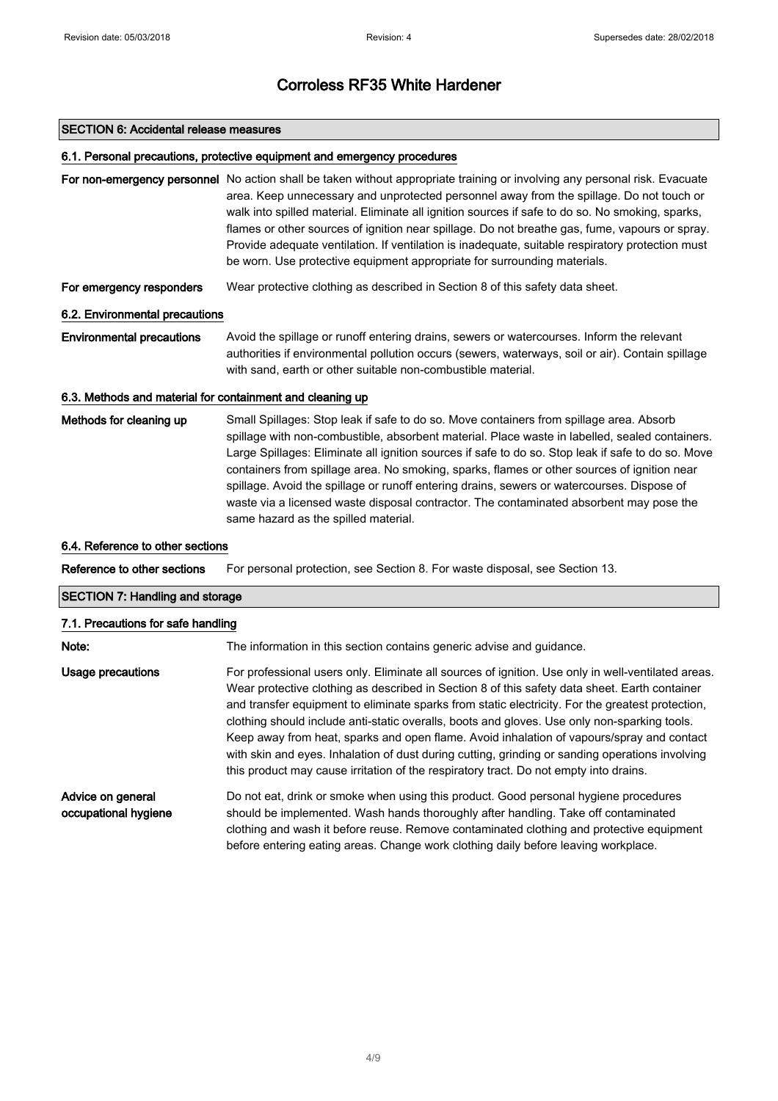#### SECTION 6: Accidental release measures

#### 6.1. Personal precautions, protective equipment and emergency procedures

For non-emergency personnel No action shall be taken without appropriate training or involving any personal risk. Evacuate area. Keep unnecessary and unprotected personnel away from the spillage. Do not touch or walk into spilled material. Eliminate all ignition sources if safe to do so. No smoking, sparks, flames or other sources of ignition near spillage. Do not breathe gas, fume, vapours or spray. Provide adequate ventilation. If ventilation is inadequate, suitable respiratory protection must be worn. Use protective equipment appropriate for surrounding materials.

For emergency responders Wear protective clothing as described in Section 8 of this safety data sheet.

### 6.2. Environmental precautions

Environmental precautions Avoid the spillage or runoff entering drains, sewers or watercourses. Inform the relevant authorities if environmental pollution occurs (sewers, waterways, soil or air). Contain spillage with sand, earth or other suitable non-combustible material.

### 6.3. Methods and material for containment and cleaning up

Methods for cleaning up Small Spillages: Stop leak if safe to do so. Move containers from spillage area. Absorb spillage with non-combustible, absorbent material. Place waste in labelled, sealed containers. Large Spillages: Eliminate all ignition sources if safe to do so. Stop leak if safe to do so. Move containers from spillage area. No smoking, sparks, flames or other sources of ignition near spillage. Avoid the spillage or runoff entering drains, sewers or watercourses. Dispose of waste via a licensed waste disposal contractor. The contaminated absorbent may pose the same hazard as the spilled material.

#### 6.4. Reference to other sections

Reference to other sections For personal protection, see Section 8. For waste disposal, see Section 13.

### SECTION 7: Handling and storage

#### 7.1. Precautions for safe handling

| Note:                                     | The information in this section contains generic advise and guidance.                                                                                                                                                                                                                                                                                                                                                                                                                                                                                                                                                                                                                            |
|-------------------------------------------|--------------------------------------------------------------------------------------------------------------------------------------------------------------------------------------------------------------------------------------------------------------------------------------------------------------------------------------------------------------------------------------------------------------------------------------------------------------------------------------------------------------------------------------------------------------------------------------------------------------------------------------------------------------------------------------------------|
| Usage precautions                         | For professional users only. Eliminate all sources of ignition. Use only in well-ventilated areas.<br>Wear protective clothing as described in Section 8 of this safety data sheet. Earth container<br>and transfer equipment to eliminate sparks from static electricity. For the greatest protection,<br>clothing should include anti-static overalls, boots and gloves. Use only non-sparking tools.<br>Keep away from heat, sparks and open flame. Avoid inhalation of vapours/spray and contact<br>with skin and eyes. Inhalation of dust during cutting, grinding or sanding operations involving<br>this product may cause irritation of the respiratory tract. Do not empty into drains. |
| Advice on general<br>occupational hygiene | Do not eat, drink or smoke when using this product. Good personal hygiene procedures<br>should be implemented. Wash hands thoroughly after handling. Take off contaminated<br>clothing and wash it before reuse. Remove contaminated clothing and protective equipment<br>before entering eating areas. Change work clothing daily before leaving workplace.                                                                                                                                                                                                                                                                                                                                     |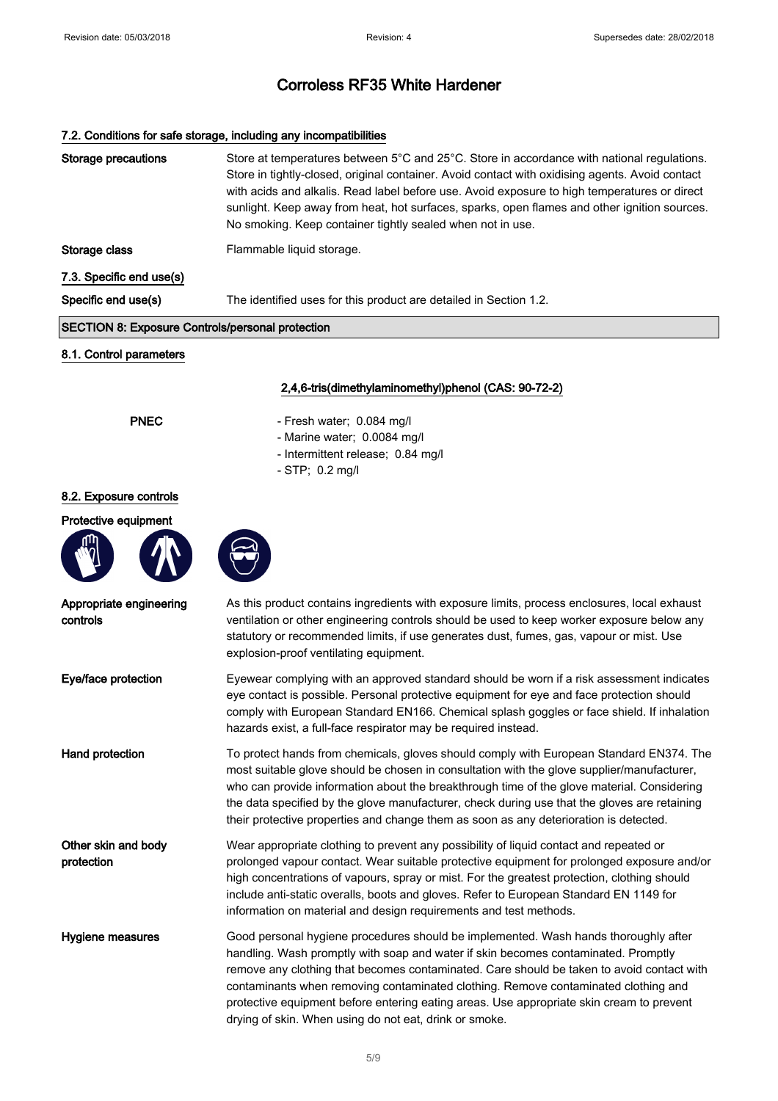## 7.2. Conditions for safe storage, including any incompatibilities

| <b>Storage precautions</b>                              | Store at temperatures between 5°C and 25°C. Store in accordance with national regulations.<br>Store in tightly-closed, original container. Avoid contact with oxidising agents. Avoid contact<br>with acids and alkalis. Read label before use. Avoid exposure to high temperatures or direct<br>sunlight. Keep away from heat, hot surfaces, sparks, open flames and other ignition sources.<br>No smoking. Keep container tightly sealed when not in use.                                                        |
|---------------------------------------------------------|--------------------------------------------------------------------------------------------------------------------------------------------------------------------------------------------------------------------------------------------------------------------------------------------------------------------------------------------------------------------------------------------------------------------------------------------------------------------------------------------------------------------|
| Storage class                                           | Flammable liquid storage.                                                                                                                                                                                                                                                                                                                                                                                                                                                                                          |
| 7.3. Specific end use(s)                                |                                                                                                                                                                                                                                                                                                                                                                                                                                                                                                                    |
| Specific end use(s)                                     | The identified uses for this product are detailed in Section 1.2.                                                                                                                                                                                                                                                                                                                                                                                                                                                  |
| <b>SECTION 8: Exposure Controls/personal protection</b> |                                                                                                                                                                                                                                                                                                                                                                                                                                                                                                                    |
| 8.1. Control parameters                                 |                                                                                                                                                                                                                                                                                                                                                                                                                                                                                                                    |
|                                                         | 2,4,6-tris(dimethylaminomethyl)phenol (CAS: 90-72-2)                                                                                                                                                                                                                                                                                                                                                                                                                                                               |
| <b>PNEC</b>                                             | - Fresh water; 0.084 mg/l                                                                                                                                                                                                                                                                                                                                                                                                                                                                                          |
|                                                         | - Marine water; 0.0084 mg/l<br>- Intermittent release; 0.84 mg/l                                                                                                                                                                                                                                                                                                                                                                                                                                                   |
|                                                         | - STP; 0.2 mg/l                                                                                                                                                                                                                                                                                                                                                                                                                                                                                                    |
| 8.2. Exposure controls                                  |                                                                                                                                                                                                                                                                                                                                                                                                                                                                                                                    |
| Protective equipment                                    |                                                                                                                                                                                                                                                                                                                                                                                                                                                                                                                    |
|                                                         |                                                                                                                                                                                                                                                                                                                                                                                                                                                                                                                    |
| Appropriate engineering<br>controls                     | As this product contains ingredients with exposure limits, process enclosures, local exhaust<br>ventilation or other engineering controls should be used to keep worker exposure below any<br>statutory or recommended limits, if use generates dust, fumes, gas, vapour or mist. Use<br>explosion-proof ventilating equipment.                                                                                                                                                                                    |
| Eye/face protection                                     | Eyewear complying with an approved standard should be worn if a risk assessment indicates<br>eye contact is possible. Personal protective equipment for eye and face protection should<br>comply with European Standard EN166. Chemical splash goggles or face shield. If inhalation<br>hazards exist, a full-face respirator may be required instead.                                                                                                                                                             |
| Hand protection                                         | To protect hands from chemicals, gloves should comply with European Standard EN374. The<br>most suitable glove should be chosen in consultation with the glove supplier/manufacturer,<br>who can provide information about the breakthrough time of the glove material. Considering<br>the data specified by the glove manufacturer, check during use that the gloves are retaining<br>their protective properties and change them as soon as any deterioration is detected.                                       |
| Other skin and body<br>protection                       | Wear appropriate clothing to prevent any possibility of liquid contact and repeated or<br>prolonged vapour contact. Wear suitable protective equipment for prolonged exposure and/or<br>high concentrations of vapours, spray or mist. For the greatest protection, clothing should<br>include anti-static overalls, boots and gloves. Refer to European Standard EN 1149 for<br>information on material and design requirements and test methods.                                                                 |
| Hygiene measures                                        | Good personal hygiene procedures should be implemented. Wash hands thoroughly after<br>handling. Wash promptly with soap and water if skin becomes contaminated. Promptly<br>remove any clothing that becomes contaminated. Care should be taken to avoid contact with<br>contaminants when removing contaminated clothing. Remove contaminated clothing and<br>protective equipment before entering eating areas. Use appropriate skin cream to prevent<br>drying of skin. When using do not eat, drink or smoke. |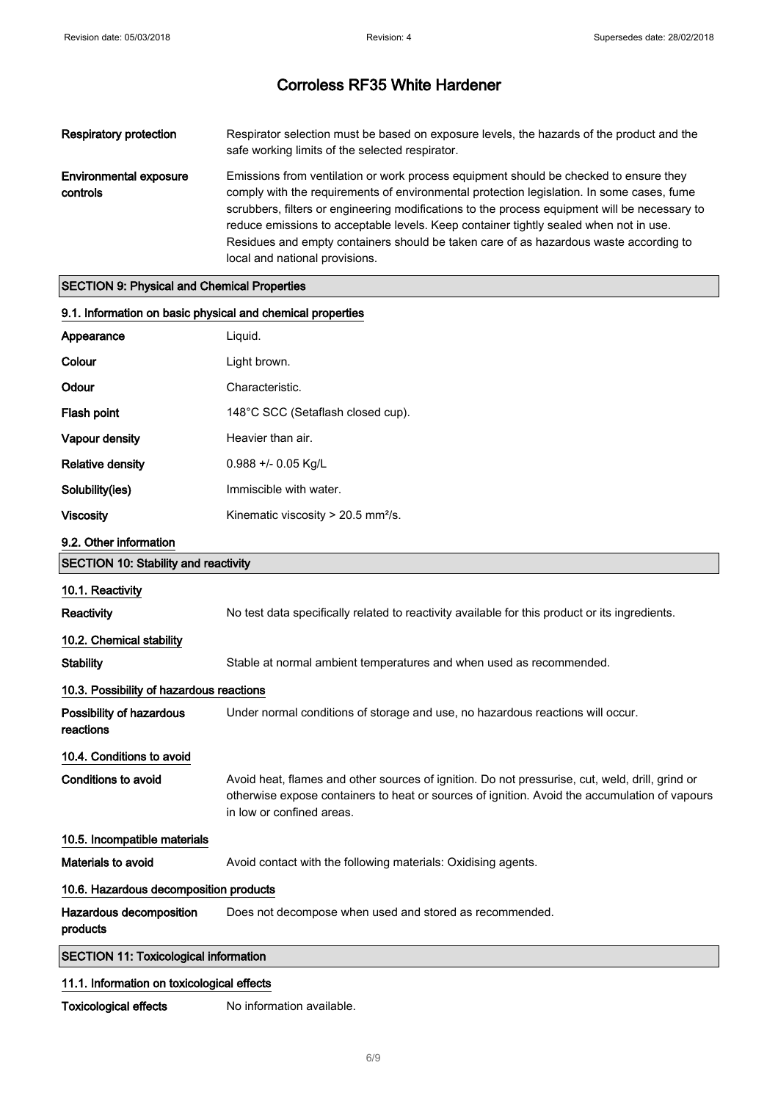| Respiratory protection             | Respirator selection must be based on exposure levels, the hazards of the product and the<br>safe working limits of the selected respirator.                                                                                                                                                                                                                                                                                                                                                            |
|------------------------------------|---------------------------------------------------------------------------------------------------------------------------------------------------------------------------------------------------------------------------------------------------------------------------------------------------------------------------------------------------------------------------------------------------------------------------------------------------------------------------------------------------------|
| Environmental exposure<br>controls | Emissions from ventilation or work process equipment should be checked to ensure they<br>comply with the requirements of environmental protection legislation. In some cases, fume<br>scrubbers, filters or engineering modifications to the process equipment will be necessary to<br>reduce emissions to acceptable levels. Keep container tightly sealed when not in use.<br>Residues and empty containers should be taken care of as hazardous waste according to<br>local and national provisions. |

## SECTION 9: Physical and Chemical Properties

| 9.1. Information on basic physical and chemical properties |                                                                                                                                                                                                                               |
|------------------------------------------------------------|-------------------------------------------------------------------------------------------------------------------------------------------------------------------------------------------------------------------------------|
| Appearance                                                 | Liquid.                                                                                                                                                                                                                       |
| Colour                                                     | Light brown.                                                                                                                                                                                                                  |
| Odour                                                      | Characteristic.                                                                                                                                                                                                               |
| Flash point                                                | 148°C SCC (Setaflash closed cup).                                                                                                                                                                                             |
| Vapour density                                             | Heavier than air.                                                                                                                                                                                                             |
| <b>Relative density</b>                                    | 0.988 +/- 0.05 Kg/L                                                                                                                                                                                                           |
| Solubility(ies)                                            | Immiscible with water.                                                                                                                                                                                                        |
| <b>Viscosity</b>                                           | Kinematic viscosity > 20.5 mm <sup>2</sup> /s.                                                                                                                                                                                |
| 9.2. Other information                                     |                                                                                                                                                                                                                               |
| <b>SECTION 10: Stability and reactivity</b>                |                                                                                                                                                                                                                               |
| 10.1. Reactivity                                           |                                                                                                                                                                                                                               |
| Reactivity                                                 | No test data specifically related to reactivity available for this product or its ingredients.                                                                                                                                |
| 10.2. Chemical stability                                   |                                                                                                                                                                                                                               |
| <b>Stability</b>                                           | Stable at normal ambient temperatures and when used as recommended.                                                                                                                                                           |
| 10.3. Possibility of hazardous reactions                   |                                                                                                                                                                                                                               |
| Possibility of hazardous<br>reactions                      | Under normal conditions of storage and use, no hazardous reactions will occur.                                                                                                                                                |
| 10.4. Conditions to avoid                                  |                                                                                                                                                                                                                               |
| <b>Conditions to avoid</b>                                 | Avoid heat, flames and other sources of ignition. Do not pressurise, cut, weld, drill, grind or<br>otherwise expose containers to heat or sources of ignition. Avoid the accumulation of vapours<br>in low or confined areas. |
| 10.5. Incompatible materials                               |                                                                                                                                                                                                                               |
| Materials to avoid                                         | Avoid contact with the following materials: Oxidising agents.                                                                                                                                                                 |
| 10.6. Hazardous decomposition products                     |                                                                                                                                                                                                                               |
| Hazardous decomposition<br>products                        | Does not decompose when used and stored as recommended.                                                                                                                                                                       |
| <b>SECTION 11: Toxicological information</b>               |                                                                                                                                                                                                                               |
| .                                                          |                                                                                                                                                                                                                               |

## 11.1. Information on toxicological effects

Toxicological effects No information available.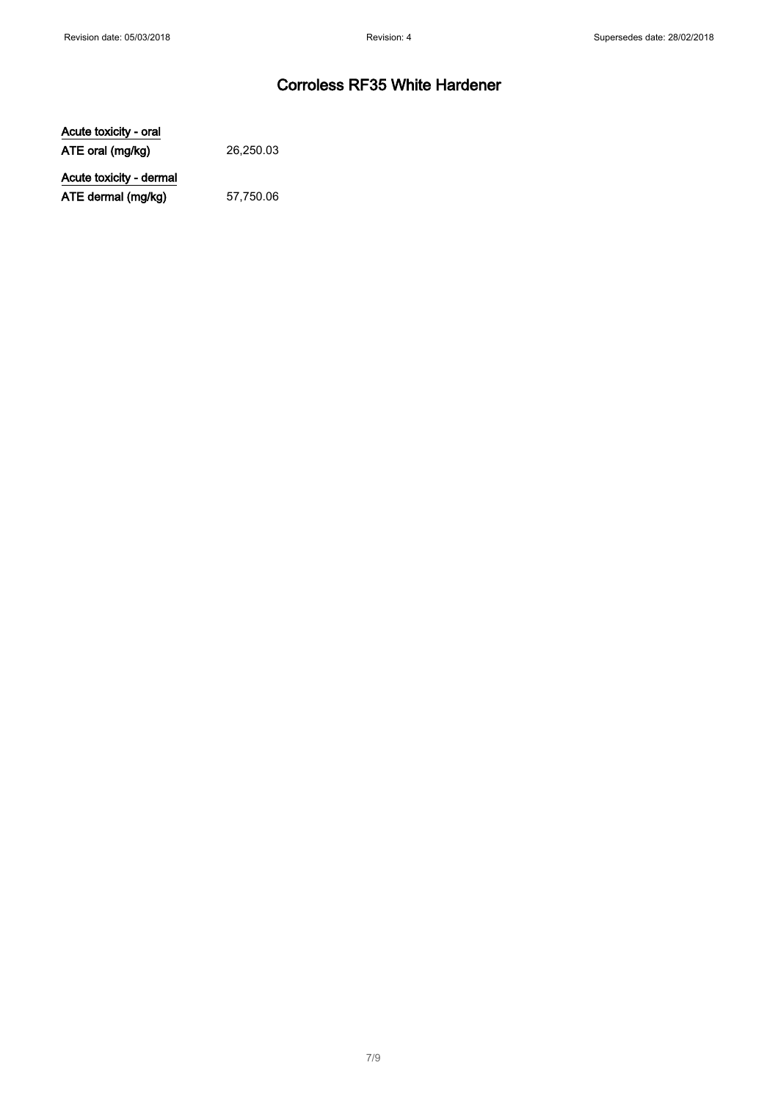Acute toxicity - oral ATE oral (mg/kg) 26,250.03

Acute toxicity - dermal ATE dermal (mg/kg) 57,750.06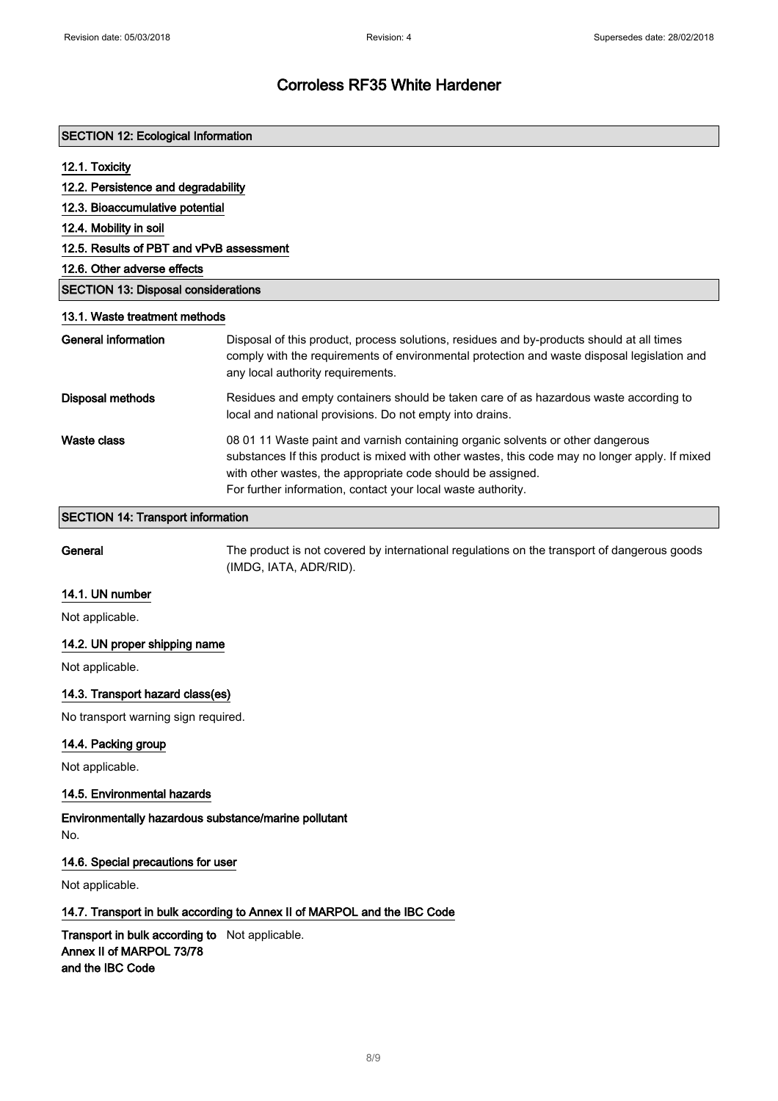| <b>SECTION 12: Ecological Information</b>  |                                                                                                                                                                                                                                                                                                                  |
|--------------------------------------------|------------------------------------------------------------------------------------------------------------------------------------------------------------------------------------------------------------------------------------------------------------------------------------------------------------------|
| 12.1. Toxicity                             |                                                                                                                                                                                                                                                                                                                  |
| 12.2. Persistence and degradability        |                                                                                                                                                                                                                                                                                                                  |
| 12.3. Bioaccumulative potential            |                                                                                                                                                                                                                                                                                                                  |
| 12.4. Mobility in soil                     |                                                                                                                                                                                                                                                                                                                  |
| 12.5. Results of PBT and vPvB assessment   |                                                                                                                                                                                                                                                                                                                  |
| 12.6. Other adverse effects                |                                                                                                                                                                                                                                                                                                                  |
| <b>SECTION 13: Disposal considerations</b> |                                                                                                                                                                                                                                                                                                                  |
| 13.1. Waste treatment methods              |                                                                                                                                                                                                                                                                                                                  |
| General information                        | Disposal of this product, process solutions, residues and by-products should at all times<br>comply with the requirements of environmental protection and waste disposal legislation and<br>any local authority requirements.                                                                                    |
| Disposal methods                           | Residues and empty containers should be taken care of as hazardous waste according to<br>local and national provisions. Do not empty into drains.                                                                                                                                                                |
| <b>Waste class</b>                         | 08 01 11 Waste paint and varnish containing organic solvents or other dangerous<br>substances If this product is mixed with other wastes, this code may no longer apply. If mixed<br>with other wastes, the appropriate code should be assigned.<br>For further information, contact your local waste authority. |

#### SECTION 14: Transport information

General The product is not covered by international regulations on the transport of dangerous goods (IMDG, IATA, ADR/RID).

### 14.1. UN number

Not applicable.

## 14.2. UN proper shipping name

Not applicable.

## 14.3. Transport hazard class(es)

No transport warning sign required.

## 14.4. Packing group

Not applicable.

## 14.5. Environmental hazards

Environmentally hazardous substance/marine pollutant No.

### 14.6. Special precautions for user

Not applicable.

## 14.7. Transport in bulk according to Annex II of MARPOL and the IBC Code

Transport in bulk according to Not applicable. Annex II of MARPOL 73/78 and the IBC Code